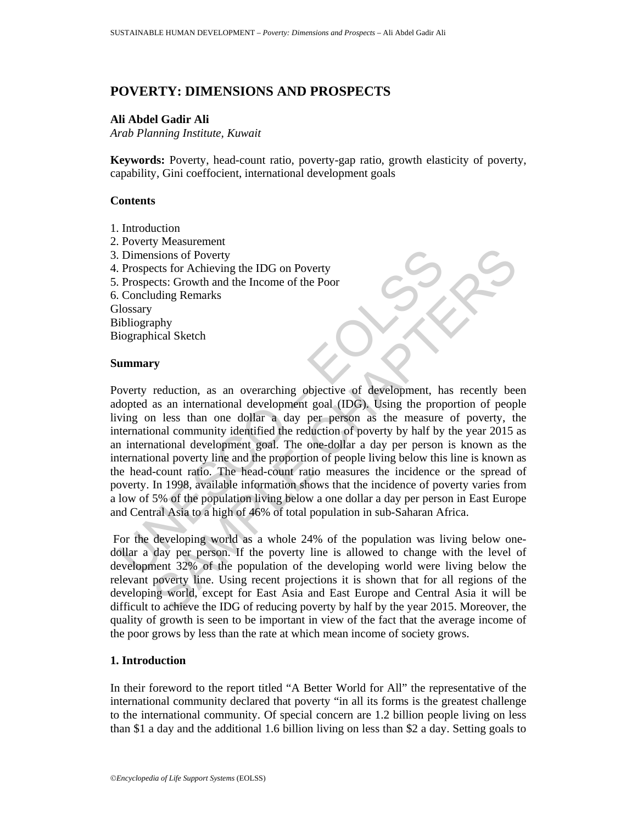# **POVERTY: DIMENSIONS AND PROSPECTS**

### **Ali Abdel Gadir Ali**

*Arab Planning Institute, Kuwait* 

**Keywords:** Poverty, head-count ratio, poverty-gap ratio, growth elasticity of poverty, capability, Gini coeffocient, international development goals

## **Contents**

- 1. Introduction
- 2. Poverty Measurement
- 3. Dimensions of Poverty
- 4. Prospects for Achieving the IDG on Poverty
- 5. Prospects: Growth and the Income of the Poor
- 6. Concluding Remarks

**Glossary** 

Bibliography

Biographical Sketch

#### **Summary**

Dimensions of Poverty<br>
Prospects for Achieving the IDG on Poverty<br>
Prospects for Achieving the IDG on Poverty<br>
Concluding Remarks<br>
Concluding Remarks<br>
Ilosary<br>
ilolography<br>
iographical Sketch<br> **ummary**<br>
overty reduction, a Sions of Poverty<br>
stissions of Poverty<br>
crets for Achieving the IDG on Poverty<br>
crets crowth and the Income of the Poor<br>
olding Remarks<br>
prophy<br>
prophy<br>
prophy<br>
prophy<br>
prophy<br>
and Sketch<br>
rest tan one dollar a day per per Poverty reduction, as an overarching objective of development, has recently been adopted as an international development goal (IDG). Using the proportion of people living on less than one dollar a day per person as the measure of poverty, the international community identified the reduction of poverty by half by the year 2015 as an international development goal. The one-dollar a day per person is known as the international poverty line and the proportion of people living below this line is known as the head-count ratio. The head-count ratio measures the incidence or the spread of poverty. In 1998, available information shows that the incidence of poverty varies from a low of 5% of the population living below a one dollar a day per person in East Europe and Central Asia to a high of 46% of total population in sub-Saharan Africa.

 For the developing world as a whole 24% of the population was living below onedollar a day per person. If the poverty line is allowed to change with the level of development 32% of the population of the developing world were living below the relevant poverty line. Using recent projections it is shown that for all regions of the developing world, except for East Asia and East Europe and Central Asia it will be difficult to achieve the IDG of reducing poverty by half by the year 2015. Moreover, the quality of growth is seen to be important in view of the fact that the average income of the poor grows by less than the rate at which mean income of society grows.

### **1. Introduction**

In their foreword to the report titled "A Better World for All" the representative of the international community declared that poverty "in all its forms is the greatest challenge to the international community. Of special concern are 1.2 billion people living on less than \$1 a day and the additional 1.6 billion living on less than \$2 a day. Setting goals to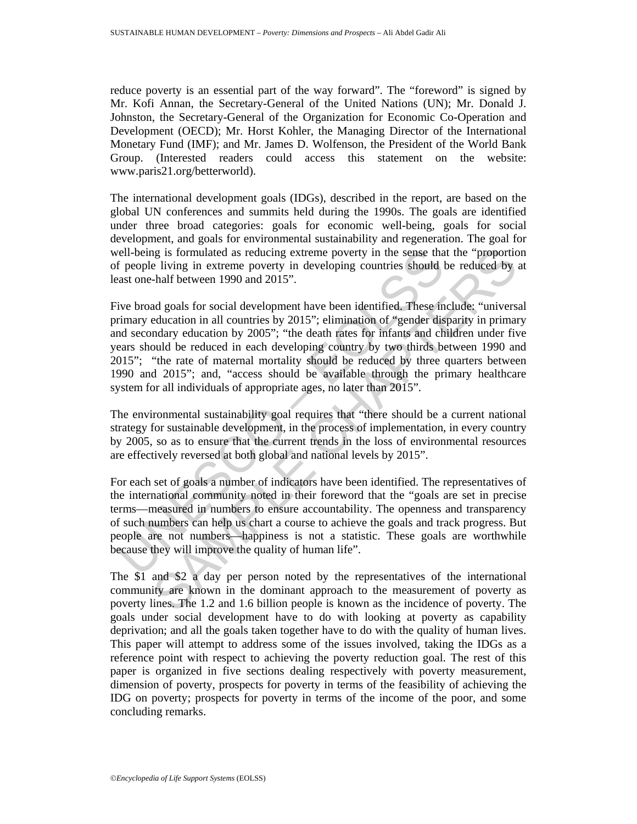reduce poverty is an essential part of the way forward". The "foreword" is signed by Mr. Kofi Annan, the Secretary-General of the United Nations (UN); Mr. Donald J. Johnston, the Secretary-General of the Organization for Economic Co-Operation and Development (OECD); Mr. Horst Kohler, the Managing Director of the International Monetary Fund (IMF); and Mr. James D. Wolfenson, the President of the World Bank Group. (Interested readers could access this statement on the website: www.paris21.org/betterworld).

The international development goals (IDGs), described in the report, are based on the global UN conferences and summits held during the 1990s. The goals are identified under three broad categories: goals for economic well-being, goals for social development, and goals for environmental sustainability and regeneration. The goal for well-being is formulated as reducing extreme poverty in the sense that the "proportion of people living in extreme poverty in developing countries should be reduced by at least one-half between 1990 and 2015".

rell-being is formulated as reducing extreme poverty in the sense that<br>f people living in extreme poverty in developing countries should<br>ast one-half between 1990 and 2015".<br>ive broad goals for social development have been ign is formulated as reducing extreme poverty in the sense that the "proportion living in extreme poverty in developing countries should be reduced by that be reduced comparison of  $2015$ ". All a goals for social developme Five broad goals for social development have been identified. These include: "universal primary education in all countries by 2015"; elimination of "gender disparity in primary and secondary education by 2005"; "the death rates for infants and children under five years should be reduced in each developing country by two thirds between 1990 and 2015"; "the rate of maternal mortality should be reduced by three quarters between 1990 and 2015"; and, "access should be available through the primary healthcare system for all individuals of appropriate ages, no later than 2015".

The environmental sustainability goal requires that "there should be a current national strategy for sustainable development, in the process of implementation, in every country by 2005, so as to ensure that the current trends in the loss of environmental resources are effectively reversed at both global and national levels by 2015".

For each set of goals a number of indicators have been identified. The representatives of the international community noted in their foreword that the "goals are set in precise terms—measured in numbers to ensure accountability. The openness and transparency of such numbers can help us chart a course to achieve the goals and track progress. But people are not numbers—happiness is not a statistic. These goals are worthwhile because they will improve the quality of human life".

The \$1 and \$2 a day per person noted by the representatives of the international community are known in the dominant approach to the measurement of poverty as poverty lines. The 1.2 and 1.6 billion people is known as the incidence of poverty. The goals under social development have to do with looking at poverty as capability deprivation; and all the goals taken together have to do with the quality of human lives. This paper will attempt to address some of the issues involved, taking the IDGs as a reference point with respect to achieving the poverty reduction goal. The rest of this paper is organized in five sections dealing respectively with poverty measurement, dimension of poverty, prospects for poverty in terms of the feasibility of achieving the IDG on poverty; prospects for poverty in terms of the income of the poor, and some concluding remarks.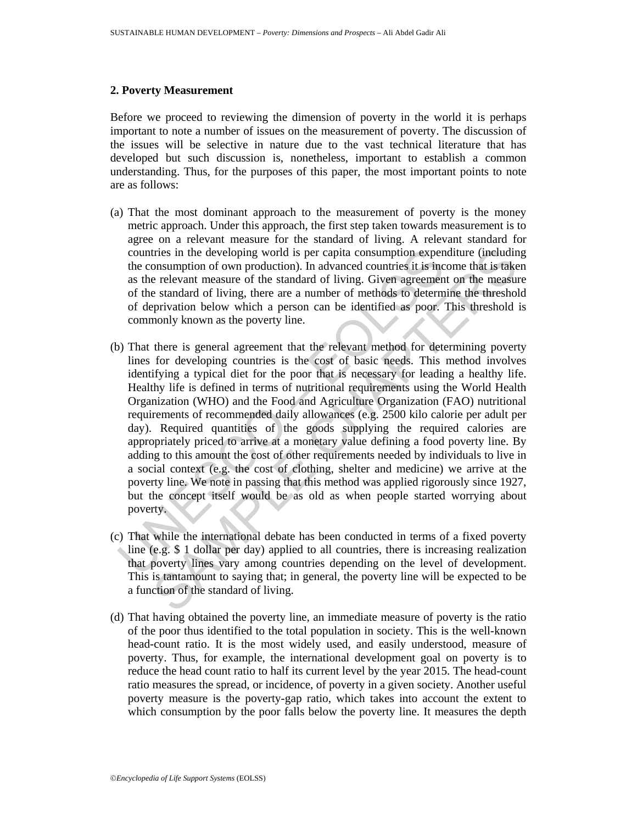#### **2. Poverty Measurement**

Before we proceed to reviewing the dimension of poverty in the world it is perhaps important to note a number of issues on the measurement of poverty. The discussion of the issues will be selective in nature due to the vast technical literature that has developed but such discussion is, nonetheless, important to establish a common understanding. Thus, for the purposes of this paper, the most important points to note are as follows:

- (a) That the most dominant approach to the measurement of poverty is the money metric approach. Under this approach, the first step taken towards measurement is to agree on a relevant measure for the standard of living. A relevant standard for countries in the developing world is per capita consumption expenditure (including the consumption of own production). In advanced countries it is income that is taken as the relevant measure of the standard of living. Given agreement on the measure of the standard of living, there are a number of methods to determine the threshold of deprivation below which a person can be identified as poor. This threshold is commonly known as the poverty line.
- countries in the developing world is per capita consumption expendent consumption of own production). In advanced countries it is ince as the relevant measure of the standard of living, there are a number of methods to det tries in the developing world is per capita consumption expenditure (ineludinos)<br>consumption of own production). In advanced countries it is income that is taken<br>per elevant measure of the standard of living. Given agreeme (b) That there is general agreement that the relevant method for determining poverty lines for developing countries is the cost of basic needs. This method involves identifying a typical diet for the poor that is necessary for leading a healthy life. Healthy life is defined in terms of nutritional requirements using the World Health Organization (WHO) and the Food and Agriculture Organization (FAO) nutritional requirements of recommended daily allowances (e.g. 2500 kilo calorie per adult per day). Required quantities of the goods supplying the required calories are appropriately priced to arrive at a monetary value defining a food poverty line. By adding to this amount the cost of other requirements needed by individuals to live in a social context (e.g. the cost of clothing, shelter and medicine) we arrive at the poverty line. We note in passing that this method was applied rigorously since 1927, but the concept itself would be as old as when people started worrying about poverty.
- (c) That while the international debate has been conducted in terms of a fixed poverty line (e.g. \$ 1 dollar per day) applied to all countries, there is increasing realization that poverty lines vary among countries depending on the level of development. This is tantamount to saying that; in general, the poverty line will be expected to be a function of the standard of living.
- (d) That having obtained the poverty line, an immediate measure of poverty is the ratio of the poor thus identified to the total population in society. This is the well-known head-count ratio. It is the most widely used, and easily understood, measure of poverty. Thus, for example, the international development goal on poverty is to reduce the head count ratio to half its current level by the year 2015. The head-count ratio measures the spread, or incidence, of poverty in a given society. Another useful poverty measure is the poverty-gap ratio, which takes into account the extent to which consumption by the poor falls below the poverty line. It measures the depth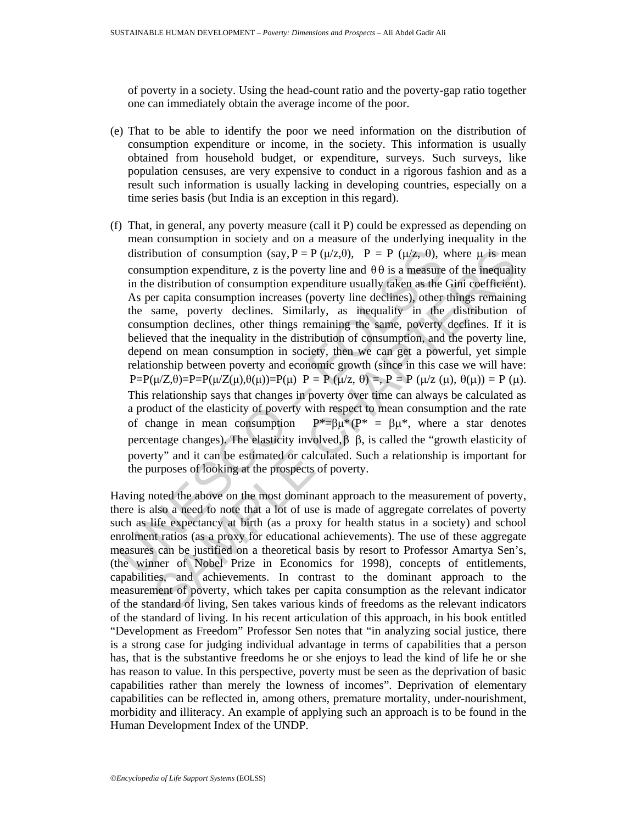of poverty in a society. Using the head-count ratio and the poverty-gap ratio together one can immediately obtain the average income of the poor.

- (e) That to be able to identify the poor we need information on the distribution of consumption expenditure or income, in the society. This information is usually obtained from household budget, or expenditure, surveys. Such surveys, like population censuses, are very expensive to conduct in a rigorous fashion and as a result such information is usually lacking in developing countries, especially on a time series basis (but India is an exception in this regard).
- distribution of consumption (say, P = P ( $\mu/z$ , 0), P = P ( $\mu/z$ , 0), v<br>consumption expenditure, z is the poverty line and  $\theta \theta$  is a measure<br>in the distribution of consumption expenditure usually taken as the<br>As per cap bution of consumption (say,  $P = P (\mu/z, \theta)$ ,  $P = P (\mu/z, \theta)$ , where  $\mu$  is meany<br>tom expenditure, z is the poverty line and  $\theta \theta$  is a measure of the mequalit<br>distribution of consumption expenditure usually taken as the Girli (f) That, in general, any poverty measure (call it P) could be expressed as depending on mean consumption in society and on a measure of the underlying inequality in the distribution of consumption (say,  $P = P(\mu/z, \theta)$ ,  $P = P(\mu/z, \theta)$ , where  $\mu$  is mean consumption expenditure, z is the poverty line and  $\theta \theta$  is a measure of the inequality in the distribution of consumption expenditure usually taken as the Gini coefficient). As per capita consumption increases (poverty line declines), other things remaining the same, poverty declines. Similarly, as inequality in the distribution of consumption declines, other things remaining the same, poverty declines. If it is believed that the inequality in the distribution of consumption, and the poverty line, depend on mean consumption in society, then we can get a powerful, yet simple relationship between poverty and economic growth (since in this case we will have:  $P=P(\mu/Z,\theta)=P=P(\mu/Z(\mu),\theta(\mu))=P(\mu)$   $P=P(\mu/z,\theta)=P=P(\mu/z(\mu),\theta(\mu))=P(\mu)$ . This relationship says that changes in poverty over time can always be calculated as a product of the elasticity of poverty with respect to mean consumption and the rate of change in mean consumption  $P^* = \beta \mu^* (P^* = \beta \mu^*$ , where a star denotes percentage changes). The elasticity involved,β β, is called the "growth elasticity of poverty" and it can be estimated or calculated. Such a relationship is important for the purposes of looking at the prospects of poverty.

Having noted the above on the most dominant approach to the measurement of poverty, there is also a need to note that a lot of use is made of aggregate correlates of poverty such as life expectancy at birth (as a proxy for health status in a society) and school enrolment ratios (as a proxy for educational achievements). The use of these aggregate measures can be justified on a theoretical basis by resort to Professor Amartya Sen's, (the winner of Nobel Prize in Economics for 1998), concepts of entitlements, capabilities, and achievements. In contrast to the dominant approach to the measurement of poverty, which takes per capita consumption as the relevant indicator of the standard of living, Sen takes various kinds of freedoms as the relevant indicators of the standard of living. In his recent articulation of this approach, in his book entitled "Development as Freedom" Professor Sen notes that "in analyzing social justice, there is a strong case for judging individual advantage in terms of capabilities that a person has, that is the substantive freedoms he or she enjoys to lead the kind of life he or she has reason to value. In this perspective, poverty must be seen as the deprivation of basic capabilities rather than merely the lowness of incomes". Deprivation of elementary capabilities can be reflected in, among others, premature mortality, under-nourishment, morbidity and illiteracy. An example of applying such an approach is to be found in the Human Development Index of the UNDP.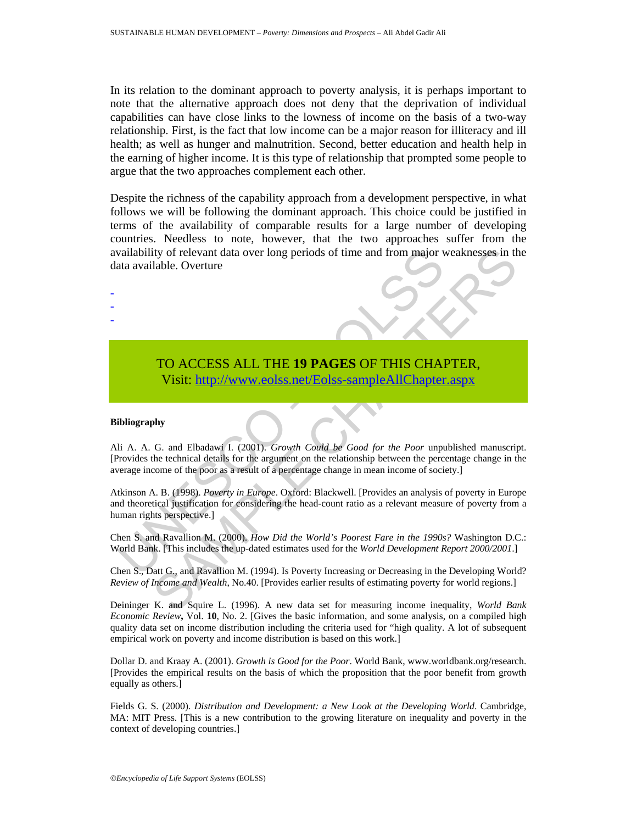In its relation to the dominant approach to poverty analysis, it is perhaps important to note that the alternative approach does not deny that the deprivation of individual capabilities can have close links to the lowness of income on the basis of a two-way relationship. First, is the fact that low income can be a major reason for illiteracy and ill health; as well as hunger and malnutrition. Second, better education and health help in the earning of higher income. It is this type of relationship that prompted some people to argue that the two approaches complement each other.

Despite the richness of the capability approach from a development perspective, in what follows we will be following the dominant approach. This choice could be justified in terms of the availability of comparable results for a large number of developing countries. Needless to note, however, that the two approaches suffer from the availability of relevant data over long periods of time and from major weaknesses in the data available. Overture

## TO ACCESS ALL THE **19 PAGES** OF THIS CHAPTER, Visit: http://www.eolss.net/Eolss-sampleAllChapter.aspx

#### **Bibliography**

- - -

vailability of relevant data over long periods of time and from major v<br>
ata available. Overture<br>
TO ACCESS ALL THE 19 PAGES OF THIS CHA<br>
Visit: http://www.colss.net/Eolss-sampleAllChapter<br>
ibliography<br>
ii A. A. G. and Elb To ACCESS ALL THE 19 PAGES OF THIS C[HAP](https://www.eolss.net/ebooklib/sc_cart.aspx?File=E6-60-04-06)TER,<br>
To ACCESS ALL THE 19 PAGES OF THIS CHAPTER,<br>
Visit: http://www.colss.net/Eolss-sample.AllChapter.aspx<br>
why<br>
G. and Elbadavi 1. (2001). *Growth Could be Good for the Poor* unpub Ali A. A. G. and Elbadawi I. (2001). *Growth Could be Good for the Poor* unpublished manuscript. [Provides the technical details for the argument on the relationship between the percentage change in the average income of the poor as a result of a percentage change in mean income of society.]

Atkinson A. B. (1998). *Poverty in Europe*. Oxford: Blackwell. [Provides an analysis of poverty in Europe and theoretical justification for considering the head-count ratio as a relevant measure of poverty from a human rights perspective.]

Chen S. and Ravallion M. (2000). *How Did the World's Poorest Fare in the 1990s?* Washington D.C.: World Bank. [This includes the up-dated estimates used for the *World Development Report 2000/2001*.]

Chen S., Datt G., and Ravallion M. (1994). Is Poverty Increasing or Decreasing in the Developing World? *Review of Income and Wealth*, No.40. [Provides earlier results of estimating poverty for world regions.]

Deininger K. and Squire L. (1996). A new data set for measuring income inequality, *World Bank Economic Review***,** Vol. **10**, No. 2. [Gives the basic information, and some analysis, on a compiled high quality data set on income distribution including the criteria used for "high quality. A lot of subsequent empirical work on poverty and income distribution is based on this work.]

Dollar D. and Kraay A. (2001). *Growth is Good for the Poor*. World Bank, www.worldbank.org/research. [Provides the empirical results on the basis of which the proposition that the poor benefit from growth equally as others.]

Fields G. S. (2000). *Distribution and Development: a New Look at the Developing World*. Cambridge, MA: MIT Press. [This is a new contribution to the growing literature on inequality and poverty in the context of developing countries.]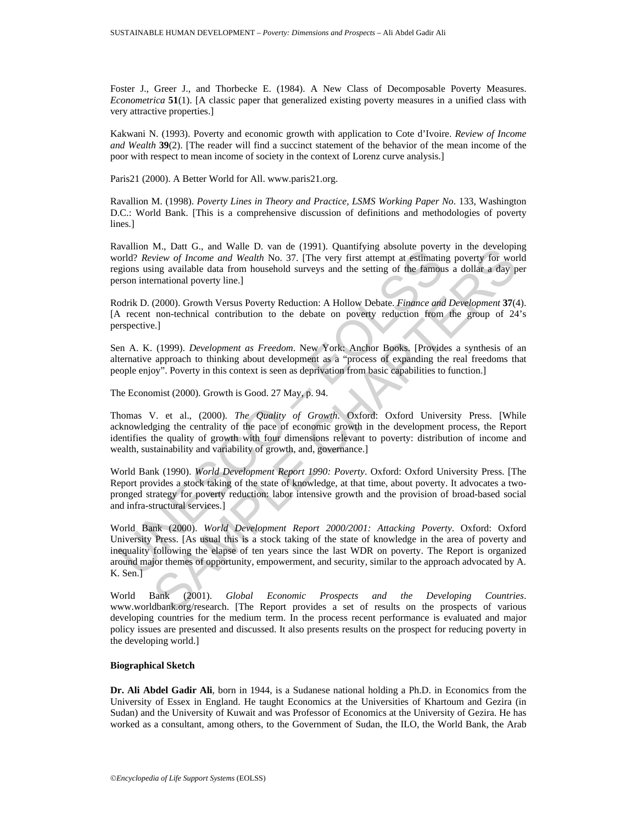Foster J., Greer J., and Thorbecke E. (1984). A New Class of Decomposable Poverty Measures. *Econometrica* **51**(1). [A classic paper that generalized existing poverty measures in a unified class with very attractive properties.]

Kakwani N. (1993). Poverty and economic growth with application to Cote d'Ivoire. *Review of Income and Wealth* **39**(2). [The reader will find a succinct statement of the behavior of the mean income of the poor with respect to mean income of society in the context of Lorenz curve analysis.]

Paris21 (2000). A Better World for All. www.paris21.org.

Ravallion M. (1998). *Poverty Lines in Theory and Practice, LSMS Working Paper No*. 133, Washington D.C.: World Bank. [This is a comprehensive discussion of definitions and methodologies of poverty lines.]

Ravallion M., Datt G., and Walle D. van de (1991). Quantifying absolute poverty in the developing world? *Review of Income and Wealth* No. 37. [The very first attempt at estimating poverty for world regions using available data from household surveys and the setting of the famous a dollar a day per person international poverty line.]

Rodrik D. (2000). Growth Versus Poverty Reduction: A Hollow Debate. *Finance and Development* **37**(4). [A recent non-technical contribution to the debate on poverty reduction from the group of 24's perspective.]

Sen A. K. (1999). *Development as Freedom*. New York: Anchor Books. [Provides a synthesis of an alternative approach to thinking about development as a "process of expanding the real freedoms that people enjoy". Poverty in this context is seen as deprivation from basic capabilities to function.]

The Economist (2000). Growth is Good. 27 May, p. 94.

Thomas V. et al., (2000). *The Quality of Growth*. Oxford: Oxford University Press. [While acknowledging the centrality of the pace of economic growth in the development process, the Report identifies the quality of growth with four dimensions relevant to poverty: distribution of income and wealth, sustainability and variability of growth, and, governance.]

World Bank (1990). *World Development Report 1990: Poverty*. Oxford: Oxford University Press. [The Report provides a stock taking of the state of knowledge, at that time, about poverty. It advocates a twopronged strategy for poverty reduction: labor intensive growth and the provision of broad-based social and infra-structural services.]

awaron *su.*, Late G., and wear L. van de t (1991). Quaduriyng absolute povertionally actually following the straining and  $\mathcal{R}$  *Review of Income and Wealth* No. 37. [The very first attempt at estimating is using avail M., Datt G., and Watchlin No. 37. [The very first attenpt associate powerty in the developing<br>view of Income and Wealth No. 37. [The very first attenpt at estimating poverty for wors<br>ing available data from household surv World Bank (2000). *World Development Report 2000/2001: Attacking Poverty*. Oxford: Oxford University Press. [As usual this is a stock taking of the state of knowledge in the area of poverty and inequality following the elapse of ten years since the last WDR on poverty. The Report is organized around major themes of opportunity, empowerment, and security, similar to the approach advocated by A. K. Sen.]

World Bank (2001). *Global Economic Prospects and the Developing Countries*. www.worldbank.org/research. [The Report provides a set of results on the prospects of various developing countries for the medium term. In the process recent performance is evaluated and major policy issues are presented and discussed. It also presents results on the prospect for reducing poverty in the developing world.]

#### **Biographical Sketch**

**Dr. Ali Abdel Gadir Ali**, born in 1944, is a Sudanese national holding a Ph.D. in Economics from the University of Essex in England. He taught Economics at the Universities of Khartoum and Gezira (in Sudan) and the University of Kuwait and was Professor of Economics at the University of Gezira. He has worked as a consultant, among others, to the Government of Sudan, the ILO, the World Bank, the Arab